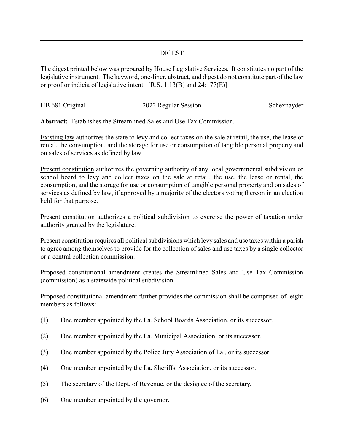## DIGEST

The digest printed below was prepared by House Legislative Services. It constitutes no part of the legislative instrument. The keyword, one-liner, abstract, and digest do not constitute part of the law or proof or indicia of legislative intent. [R.S. 1:13(B) and 24:177(E)]

| HB 681 Original | 2022 Regular Session | Schexnayder |
|-----------------|----------------------|-------------|
|                 |                      |             |

**Abstract:** Establishes the Streamlined Sales and Use Tax Commission.

Existing law authorizes the state to levy and collect taxes on the sale at retail, the use, the lease or rental, the consumption, and the storage for use or consumption of tangible personal property and on sales of services as defined by law.

Present constitution authorizes the governing authority of any local governmental subdivision or school board to levy and collect taxes on the sale at retail, the use, the lease or rental, the consumption, and the storage for use or consumption of tangible personal property and on sales of services as defined by law, if approved by a majority of the electors voting thereon in an election held for that purpose.

Present constitution authorizes a political subdivision to exercise the power of taxation under authority granted by the legislature.

Present constitution requires all political subdivisions which levy sales and use taxes within a parish to agree among themselves to provide for the collection of sales and use taxes by a single collector or a central collection commission.

Proposed constitutional amendment creates the Streamlined Sales and Use Tax Commission (commission) as a statewide political subdivision.

Proposed constitutional amendment further provides the commission shall be comprised of eight members as follows:

- (1) One member appointed by the La. School Boards Association, or its successor.
- (2) One member appointed by the La. Municipal Association, or its successor.
- (3) One member appointed by the Police Jury Association of La., or its successor.
- (4) One member appointed by the La. Sheriffs' Association, or its successor.
- (5) The secretary of the Dept. of Revenue, or the designee of the secretary.
- (6) One member appointed by the governor.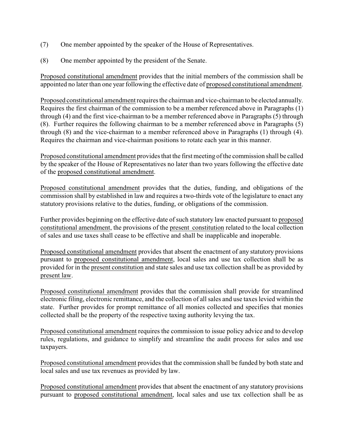- (7) One member appointed by the speaker of the House of Representatives.
- (8) One member appointed by the president of the Senate.

Proposed constitutional amendment provides that the initial members of the commission shall be appointed no later than one year following the effective date of proposed constitutional amendment.

Proposed constitutional amendment requires the chairman and vice-chairman to be elected annually. Requires the first chairman of the commission to be a member referenced above in Paragraphs (1) through (4) and the first vice-chairman to be a member referenced above in Paragraphs (5) through (8). Further requires the following chairman to be a member referenced above in Paragraphs (5) through (8) and the vice-chairman to a member referenced above in Paragraphs (1) through (4). Requires the chairman and vice-chairman positions to rotate each year in this manner.

Proposed constitutional amendment provides that the first meeting of the commission shall be called by the speaker of the House of Representatives no later than two years following the effective date of the proposed constitutional amendment.

Proposed constitutional amendment provides that the duties, funding, and obligations of the commission shall by established in law and requires a two-thirds vote of the legislature to enact any statutory provisions relative to the duties, funding, or obligations of the commission.

Further provides beginning on the effective date of such statutory law enacted pursuant to proposed constitutional amendment, the provisions of the present constitution related to the local collection of sales and use taxes shall cease to be effective and shall be inapplicable and inoperable.

Proposed constitutional amendment provides that absent the enactment of any statutory provisions pursuant to proposed constitutional amendment, local sales and use tax collection shall be as provided for in the present constitution and state sales and use tax collection shall be as provided by present law.

Proposed constitutional amendment provides that the commission shall provide for streamlined electronic filing, electronic remittance, and the collection of all sales and use taxes levied within the state. Further provides for prompt remittance of all monies collected and specifies that monies collected shall be the property of the respective taxing authority levying the tax.

Proposed constitutional amendment requires the commission to issue policy advice and to develop rules, regulations, and guidance to simplify and streamline the audit process for sales and use taxpayers.

Proposed constitutional amendment provides that the commission shall be funded by both state and local sales and use tax revenues as provided by law.

Proposed constitutional amendment provides that absent the enactment of any statutory provisions pursuant to proposed constitutional amendment, local sales and use tax collection shall be as